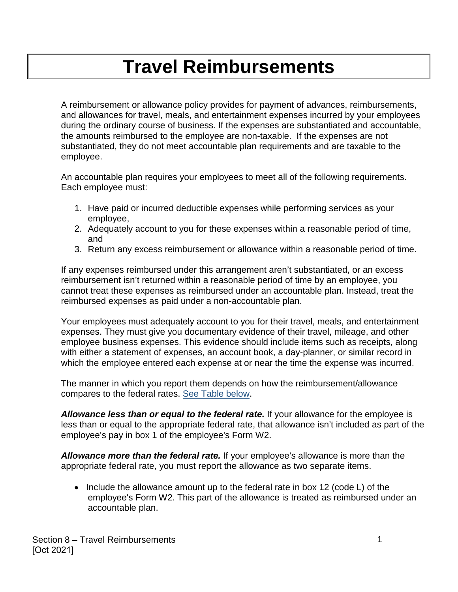## **Travel Reimbursements**

A reimbursement or allowance policy provides for payment of advances, reimbursements, and allowances for travel, meals, and entertainment expenses incurred by your employees during the ordinary course of business. If the expenses are substantiated and accountable, the amounts reimbursed to the employee are non-taxable. If the expenses are not substantiated, they do not meet accountable plan requirements and are taxable to the employee.

An accountable plan requires your employees to meet all of the following requirements. Each employee must:

- 1. Have paid or incurred deductible expenses while performing services as your employee,
- 2. Adequately account to you for these expenses within a reasonable period of time, and
- 3. Return any excess reimbursement or allowance within a reasonable period of time.

If any expenses reimbursed under this arrangement aren't substantiated, or an excess reimbursement isn't returned within a reasonable period of time by an employee, you cannot treat these expenses as reimbursed under an accountable plan. Instead, treat the reimbursed expenses as paid under a non-accountable plan.

Your employees must adequately account to you for their travel, meals, and entertainment expenses. They must give you documentary evidence of their travel, mileage, and other employee business expenses. This evidence should include items such as receipts, along with either a statement of expenses, an account book, a day-planner, or similar record in which the employee entered each expense at or near the time the expense was incurred.

The manner in which you report them depends on how the reimbursement/allowance compares to the federal rates. [See Table below.](#page-1-0)

*Allowance less than or equal to the federal rate.* If your allowance for the employee is less than or equal to the appropriate federal rate, that allowance isn't included as part of the employee's pay in box 1 of the employee's Form W2.

*Allowance more than the federal rate.* If your employee's allowance is more than the appropriate federal rate, you must report the allowance as two separate items.

• Include the allowance amount up to the federal rate in box 12 (code L) of the employee's Form W2. This part of the allowance is treated as reimbursed under an accountable plan.